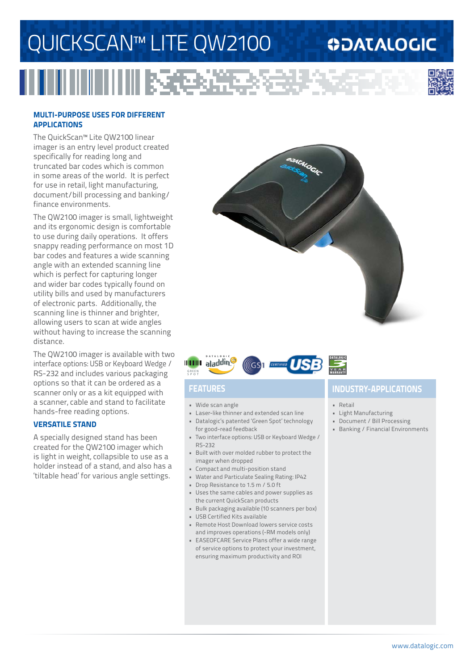# QUICKSCAN™ LITE QW2100

RG.

### **ODATALOGIC**



#### **MULTI-PURPOSE USES FOR DIFFERENT APPLICATIONS**

The QuickScan™ Lite QW2100 linear imager is an entry level product created specifically for reading long and truncated bar codes which is common in some areas of the world. It is perfect for use in retail, light manufacturing, document/bill processing and banking/ finance environments.

The QW2100 imager is small, lightweight and its ergonomic design is comfortable to use during daily operations. It offers snappy reading performance on most 1D bar codes and features a wide scanning angle with an extended scanning line which is perfect for capturing longer and wider bar codes typically found on utility bills and used by manufacturers of electronic parts. Additionally, the scanning line is thinner and brighter, allowing users to scan at wide angles without having to increase the scanning distance.

The QW2100 imager is available with two interface options: USB or Keyboard Wedge / RS-232 and includes various packaging options so that it can be ordered as a scanner only or as a kit equipped with a scanner, cable and stand to facilitate hands-free reading options.

#### **VERSATILE STAND**

A specially designed stand has been created for the QW2100 imager which is light in weight, collapsible to use as a holder instead of a stand, and also has a 'tiltable head' for various angle settings.





- Wide scan angle
- Laser-like thinner and extended scan line
- Datalogic's patented 'Green Spot' technology for good-read feedback
- Two interface options: USB or Keyboard Wedge / RS-232
- Built with over molded rubber to protect the imager when dropped
- Compact and multi-position stand
- Water and Particulate Sealing Rating: IP42
- Drop Resistance to 1.5 m / 5.0 ft
- Uses the same cables and power supplies as the current QuickScan products
- Bulk packaging available (10 scanners per box)
- USB Certified Kits available
- Remote Host Download lowers service costs and improves operations (-RM models only)
- EASEOFCARE Service Plans offer a wide range of service options to protect your investment, ensuring maximum productivity and ROI

### **FEATURES INDUSTRY-APPLICATIONS**

- Retail
- Light Manufacturing
- Document / Bill Processing
- Banking / Financial Environments